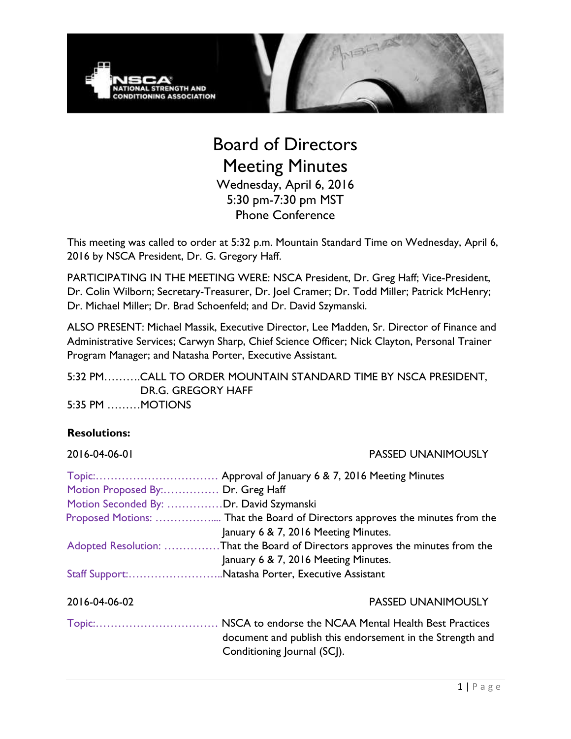

# Board of Directors Meeting Minutes Wednesday, April 6, 2016 5:30 pm-7:30 pm MST Phone Conference

This meeting was called to order at 5:32 p.m. Mountain Standard Time on Wednesday, April 6, 2016 by NSCA President, Dr. G. Gregory Haff.

PARTICIPATING IN THE MEETING WERE: NSCA President, Dr. Greg Haff; Vice-President, Dr. Colin Wilborn; Secretary-Treasurer, Dr. Joel Cramer; Dr. Todd Miller; Patrick McHenry; Dr. Michael Miller; Dr. Brad Schoenfeld; and Dr. David Szymanski.

ALSO PRESENT: Michael Massik, Executive Director, Lee Madden, Sr. Director of Finance and Administrative Services; Carwyn Sharp, Chief Science Officer; Nick Clayton, Personal Trainer Program Manager; and Natasha Porter, Executive Assistant.

5:32 PM……….CALL TO ORDER MOUNTAIN STANDARD TIME BY NSCA PRESIDENT, DR.G. GREGORY HAFF 5:35 PM ………MOTIONS

### **Resolutions:**

2016-04-06-01 PASSED UNANIMOUSLY

| Motion Proposed By: Dr. Greg Haff       |                                                                                          |
|-----------------------------------------|------------------------------------------------------------------------------------------|
| Motion Seconded By: Dr. David Szymanski |                                                                                          |
|                                         |                                                                                          |
|                                         | January 6 & 7, 2016 Meeting Minutes.                                                     |
|                                         | Adopted Resolution: That the Board of Directors approves the minutes from the            |
|                                         | January 6 & 7, 2016 Meeting Minutes.                                                     |
|                                         | Staff Support:Natasha Porter, Executive Assistant                                        |
| 2016-04-06-02                           | <b>PASSED UNANIMOUSLY</b>                                                                |
|                                         |                                                                                          |
|                                         | document and publish this endorsement in the Strength and<br>Conditioning Journal (SCJ). |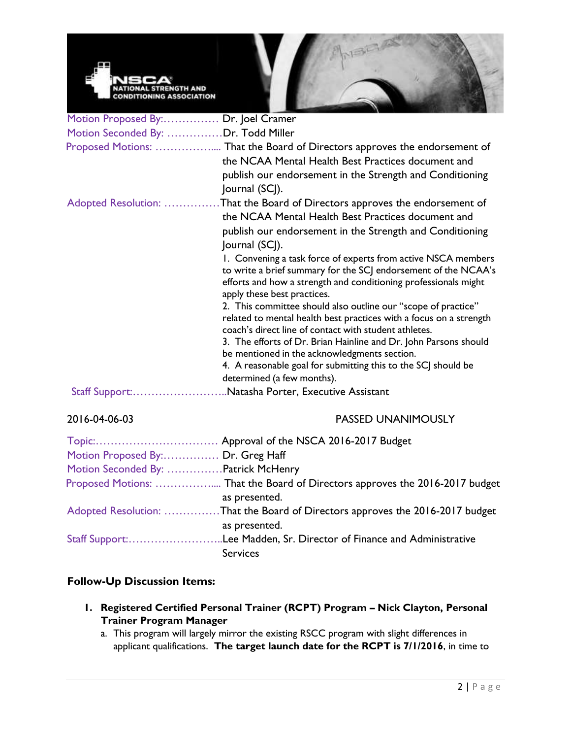

| Motion Proposed By: Dr. Joel Cramer |                                                                                                                                                                  |
|-------------------------------------|------------------------------------------------------------------------------------------------------------------------------------------------------------------|
| Motion Seconded By: Dr. Todd Miller |                                                                                                                                                                  |
|                                     | Proposed Motions:  That the Board of Directors approves the endorsement of                                                                                       |
|                                     | the NCAA Mental Health Best Practices document and                                                                                                               |
|                                     | publish our endorsement in the Strength and Conditioning                                                                                                         |
|                                     | Journal (SCJ).                                                                                                                                                   |
| Adopted Resolution:                 | That the Board of Directors approves the endorsement of                                                                                                          |
|                                     | the NCAA Mental Health Best Practices document and                                                                                                               |
|                                     | publish our endorsement in the Strength and Conditioning                                                                                                         |
|                                     | Journal (SCJ).                                                                                                                                                   |
|                                     | 1. Convening a task force of experts from active NSCA members                                                                                                    |
|                                     | to write a brief summary for the SCJ endorsement of the NCAA's<br>efforts and how a strength and conditioning professionals might<br>apply these best practices. |
|                                     | 2. This committee should also outline our "scope of practice"                                                                                                    |
|                                     | related to mental health best practices with a focus on a strength<br>coach's direct line of contact with student athletes.                                      |
|                                     | 3. The efforts of Dr. Brian Hainline and Dr. John Parsons should                                                                                                 |
|                                     | be mentioned in the acknowledgments section.                                                                                                                     |
|                                     | 4. A reasonable goal for submitting this to the SCJ should be<br>determined (a few months).                                                                      |
|                                     | Staff Support:Natasha Porter, Executive Assistant                                                                                                                |
| 2016-04-06-03                       | <b>PASSED UNANIMOUSLY</b>                                                                                                                                        |

| Motion Proposed By: Dr. Greg Haff   |                                                                               |
|-------------------------------------|-------------------------------------------------------------------------------|
| Motion Seconded By: Patrick McHenry |                                                                               |
|                                     | as presented.                                                                 |
|                                     | Adopted Resolution: That the Board of Directors approves the 2016-2017 budget |
|                                     | as presented.                                                                 |
|                                     | Staff Support:Lee Madden, Sr. Director of Finance and Administrative          |
|                                     | <b>Services</b>                                                               |

## **Follow-Up Discussion Items:**

- **1. Registered Certified Personal Trainer (RCPT) Program – Nick Clayton, Personal Trainer Program Manager**
	- a. This program will largely mirror the existing RSCC program with slight differences in applicant qualifications. **The target launch date for the RCPT is 7/1/2016**, in time to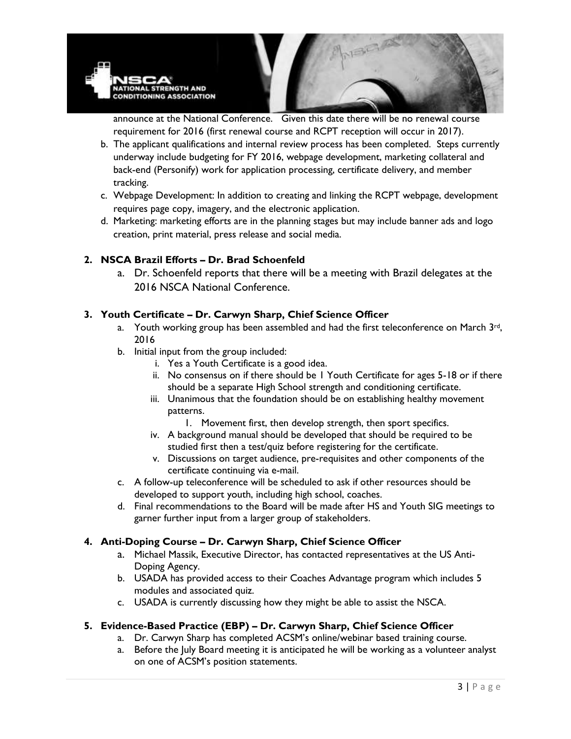

announce at the National Conference. Given this date there will be no renewal course requirement for 2016 (first renewal course and RCPT reception will occur in 2017).

- b. The applicant qualifications and internal review process has been completed. Steps currently underway include budgeting for FY 2016, webpage development, marketing collateral and back-end (Personify) work for application processing, certificate delivery, and member tracking.
- c. Webpage Development: In addition to creating and linking the RCPT webpage, development requires page copy, imagery, and the electronic application.
- d. Marketing: marketing efforts are in the planning stages but may include banner ads and logo creation, print material, press release and social media.

### **2. NSCA Brazil Efforts – Dr. Brad Schoenfeld**

a. Dr. Schoenfeld reports that there will be a meeting with Brazil delegates at the 2016 NSCA National Conference.

### **3. Youth Certificate – Dr. Carwyn Sharp, Chief Science Officer**

- a. Youth working group has been assembled and had the first teleconference on March  $3rd$ , 2016
- b. Initial input from the group included:
	- i. Yes a Youth Certificate is a good idea.
	- ii. No consensus on if there should be 1 Youth Certificate for ages 5-18 or if there should be a separate High School strength and conditioning certificate.
	- iii. Unanimous that the foundation should be on establishing healthy movement patterns.
		- 1. Movement first, then develop strength, then sport specifics.
	- iv. A background manual should be developed that should be required to be studied first then a test/quiz before registering for the certificate.
	- v. Discussions on target audience, pre-requisites and other components of the certificate continuing via e-mail.
- c. A follow-up teleconference will be scheduled to ask if other resources should be developed to support youth, including high school, coaches.
- d. Final recommendations to the Board will be made after HS and Youth SIG meetings to garner further input from a larger group of stakeholders.

#### **4. Anti-Doping Course – Dr. Carwyn Sharp, Chief Science Officer**

- a. Michael Massik, Executive Director, has contacted representatives at the US Anti-Doping Agency.
- b. USADA has provided access to their Coaches Advantage program which includes 5 modules and associated quiz.
- c. USADA is currently discussing how they might be able to assist the NSCA.

#### **5. Evidence-Based Practice (EBP) – Dr. Carwyn Sharp, Chief Science Officer**

- a. Dr. Carwyn Sharp has completed ACSM's online/webinar based training course.
- a. Before the July Board meeting it is anticipated he will be working as a volunteer analyst on one of ACSM's position statements.